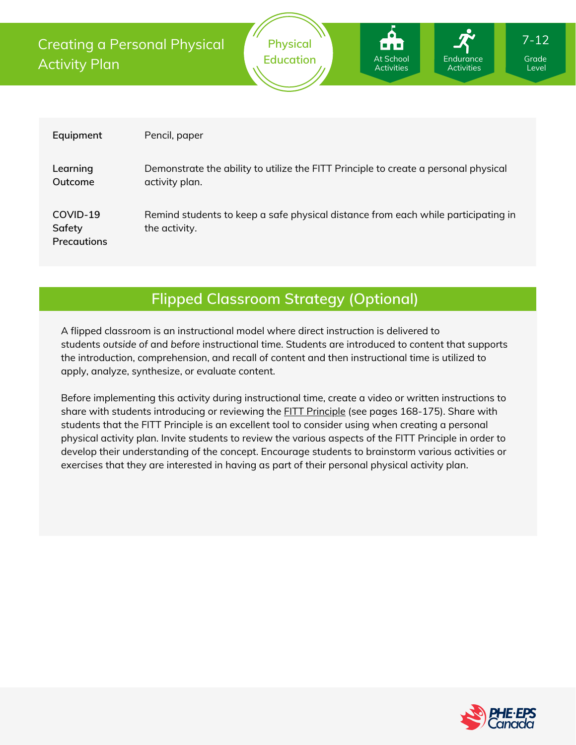At School Activities Endurance Activities

| Equipment                                | Pencil, paper                                                                                         |
|------------------------------------------|-------------------------------------------------------------------------------------------------------|
| Learning<br>Outcome                      | Demonstrate the ability to utilize the FITT Principle to create a personal physical<br>activity plan. |
| COVID-19<br>Safety<br><b>Precautions</b> | Remind students to keep a safe physical distance from each while participating in<br>the activity.    |

## **Flipped Classroom Strategy (Optional)**

A flipped classroom is an instructional model where direct instruction is delivered to students *outside of* and *before* instructional time. Students are introduced to content that supports the introduction, comprehension, and recall of content and then instructional time is utilized to apply, analyze, synthesize, or evaluate content.

Before implementing this activity during instructional time, create a video or written instructions to share with students introducing or reviewing the **FITT [Principle](https://www.edu.gov.mb.ca/k12/cur/physhlth/frame_found_gr11/rm/module_b_lesson_6.pdf)** (see pages 168-175). Share with students that the FITT Principle is an excellent tool to consider using when creating a personal physical activity plan. Invite students to review the various aspects of the FITT Principle in order to develop their understanding of the concept. Encourage students to brainstorm various activities or exercises that they are interested in having as part of their personal physical activity plan.



Grade Level

7-12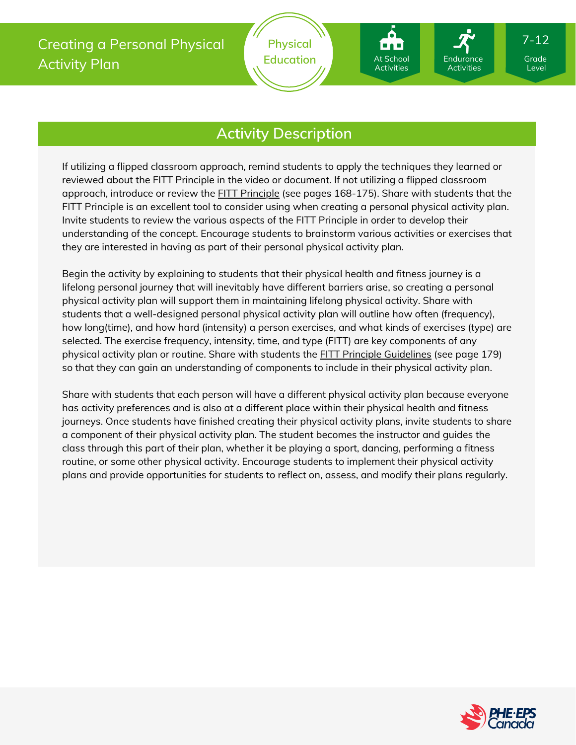At School Activities

Endurance Activities

# **Activity Description**

If utilizing a flipped classroom approach, remind students to apply the techniques they learned or reviewed about the FITT Principle in the video or document. If not utilizing a flipped classroom approach, introduce or review the FITT [Principle](https://www.edu.gov.mb.ca/k12/cur/physhlth/frame_found_gr11/rm/module_b_lesson_6.pdf) (see pages 168-175). Share with students that the FITT Principle is an excellent tool to consider using when creating a personal physical activity plan. Invite students to review the various aspects of the FITT Principle in order to develop their understanding of the concept. Encourage students to brainstorm various activities or exercises that they are interested in having as part of their personal physical activity plan.

Begin the activity by explaining to students that their physical health and fitness journey is a lifelong personal journey that will inevitably have different barriers arise, so creating a personal physical activity plan will support them in maintaining lifelong physical activity. Share with students that a well-designed personal physical activity plan will outline how often (frequency), how long(time), and how hard (intensity) a person exercises, and what kinds of exercises (type) are selected. The exercise frequency, intensity, time, and type (FITT) are key components of any physical activity plan or routine. Share with students the **FITT Principle [Guidelines](https://www.edu.gov.mb.ca/k12/cur/physhlth/frame_found_gr11/rm/module_b_lesson_6.pdf)** (see page 179) so that they can gain an understanding of components to include in their physical activity plan.

Share with students that each person will have a different physical activity plan because everyone has activity preferences and is also at a different place within their physical health and fitness journeys. Once students have finished creating their physical activity plans, invite students to share a component of their physical activity plan. The student becomes the instructor and guides the class through this part of their plan, whether it be playing a sport, dancing, performing a fitness routine, or some other physical activity. Encourage students to implement their physical activity plans and provide opportunities for students to reflect on, assess, and modify their plans regularly.



Level

7-12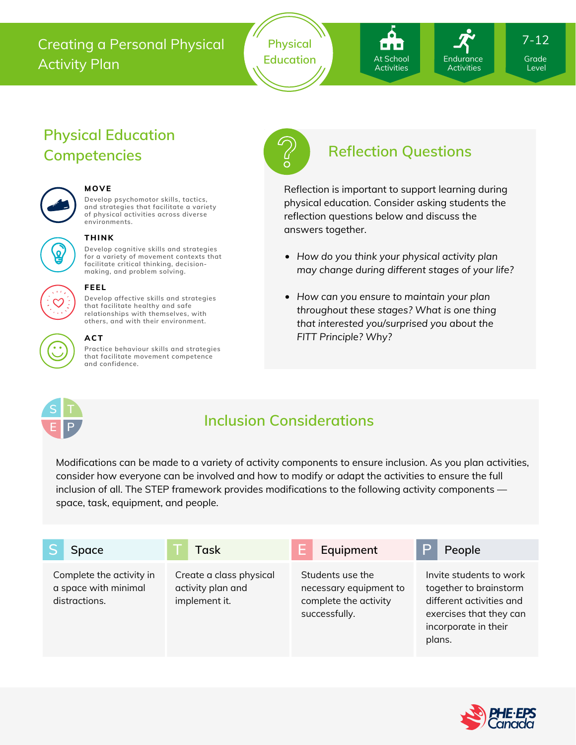## Creating a Personal Physical Activity Plan



# **Physical Education Competencies Reflection Questions**



## **MOVE**

**Develop psychomotor skills, tactics, and strategies that facilitate a variety of physical activities across diverse environments.**



### **THINK**

**Develop cognitive skills and strategies for a variety of movement contexts that facilitate critical thinking, decision making, and problem solving.**

**Develop affective skills and strategies that facilitate healthy and safe relationships with themselves, with**



#### **others, and with their environment. ACT**

**FEEL**

**Practice behaviour skills and strategies that facilitate movement competence and confidence.**



At School Activities

Endurance Activities

Level

7-12

Reflection is important to support learning during physical education. Consider asking students the reflection questions below and discuss the answers together.

- *How do you think your physical activity plan may change during different stages of your life?*
- *How can you ensure to maintain your plan throughout these stages? What is one thing that interested you/surprised you about the FITT Principle? Why?*



# **Inclusion Considerations**

Modifications can be made to a variety of activity components to ensure inclusion. As you plan activities, consider how everyone can be involved and how to modify or adapt the activities to ensure the full inclusion of all. The STEP framework provides modifications to the following activity components space, task, equipment, and people.

| Space                                                             | Task                                                          | Equipment                                                                            | D<br>People                                                                                                                                |
|-------------------------------------------------------------------|---------------------------------------------------------------|--------------------------------------------------------------------------------------|--------------------------------------------------------------------------------------------------------------------------------------------|
| Complete the activity in<br>a space with minimal<br>distractions. | Create a class physical<br>activity plan and<br>implement it. | Students use the<br>necessary equipment to<br>complete the activity<br>successfully. | Invite students to work<br>together to brainstorm<br>different activities and<br>exercises that they can<br>incorporate in their<br>plans. |